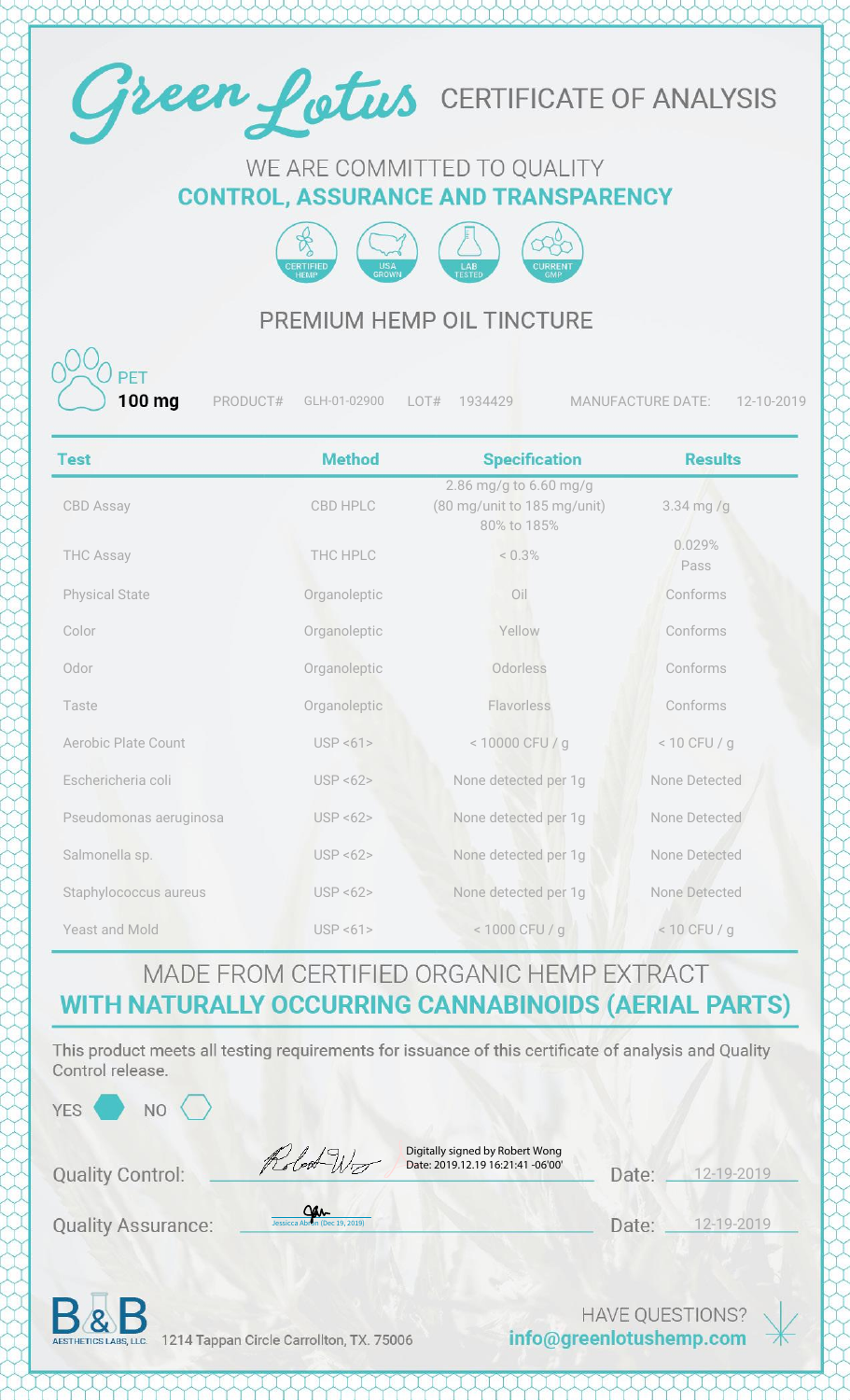

#### WE ARE COMMITTED TO QUALITY **CONTROL, ASSURANCE AND TRANSPARENCY**



#### PREMIUM HEMP OIL TINCTURE

100 ma

PRODUCT# GLH-01-02900 LOT# 1934429 MANUFACTURE DATE: 12-10-2019

| <b>Test</b>                | <b>Method</b> | <b>Specification</b>                                                 | <b>Results</b> |
|----------------------------|---------------|----------------------------------------------------------------------|----------------|
| <b>CBD Assay</b>           | CBD HPLC      | 2.86 mg/g to 6.60 mg/g<br>(80 mg/unit to 185 mg/unit)<br>80% to 185% | $3.34$ mg/g    |
| <b>THC Assay</b>           | THC HPLC      | < 0.3%                                                               | 0.029%<br>Pass |
| <b>Physical State</b>      | Organoleptic  | Oil                                                                  | Conforms       |
| Color                      | Organoleptic  | Yellow                                                               | Conforms       |
| Odor                       | Organoleptic  | Odorless                                                             | Conforms       |
| Taste                      | Organoleptic  | Flavorless                                                           | Conforms       |
| <b>Aerobic Plate Count</b> | USP < 61      | < 10000 CFU / g                                                      | $< 10$ CFU / g |
| Eschericheria coli         | USP < 62      | None detected per 1g                                                 | None Detected  |
| Pseudomonas aeruginosa     | USP < 62      | None detected per 1g                                                 | None Detected  |
| Salmonella sp.             | USP < 62      | None detected per 1g                                                 | None Detected  |
| Staphylococcus aureus      | USP < 62      | None detected per 1g                                                 | None Detected  |
| <b>Yeast and Mold</b>      | USP < 61      | < 1000 CFU / g                                                       | $< 10$ CFU / g |

## MADE FROM CERTIFIED ORGANIC HEMP EXTRACT WITH NATURALLY OCCURRING CANNABINOIDS (AERIAL PARTS)

This product meets all testing requirements for issuance of this certificate of analysis and Quality Control release.

| YES<br>N <sub>O</sub>     |                                                                                    |                        |            |  |
|---------------------------|------------------------------------------------------------------------------------|------------------------|------------|--|
| <b>Quality Control:</b>   | Digitally signed by Robert Wong<br>Robert Wir<br>Date: 2019.12.19 16:21:41 -06'00' | Date:                  | 12-19-2019 |  |
| <b>Quality Assurance:</b> | <u>Can</u><br>Jessicca Abron (Dec 19, 2019)                                        | Date:                  | 12-19-2019 |  |
| $\mathbf{R}$              |                                                                                    | <b>HAVE OUESTIONS?</b> |            |  |

AESTHETICS LABS, LLC. 1214 Tappan Circle Carrollton, TX. 75006

info@greenlotushemp.com

 $\ast$